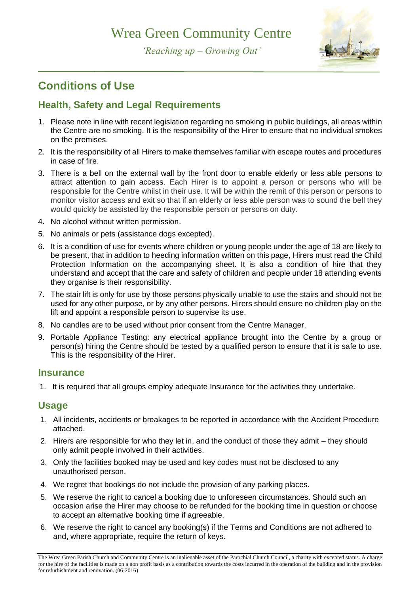## Wrea Green Community Centre

*'Reaching up – Growing Out'*



## **Conditions of Use**

## **Health, Safety and Legal Requirements**

- 1. Please note in line with recent legislation regarding no smoking in public buildings, all areas within the Centre are no smoking. It is the responsibility of the Hirer to ensure that no individual smokes on the premises.
- 2. It is the responsibility of all Hirers to make themselves familiar with escape routes and procedures in case of fire.
- 3. There is a bell on the external wall by the front door to enable elderly or less able persons to attract attention to gain access. Each Hirer is to appoint a person or persons who will be responsible for the Centre whilst in their use. It will be within the remit of this person or persons to monitor visitor access and exit so that if an elderly or less able person was to sound the bell they would quickly be assisted by the responsible person or persons on duty.
- 4. No alcohol without written permission.
- 5. No animals or pets (assistance dogs excepted).
- 6. It is a condition of use for events where children or young people under the age of 18 are likely to be present, that in addition to heeding information written on this page, Hirers must read the Child Protection Information on the accompanying sheet. It is also a condition of hire that they understand and accept that the care and safety of children and people under 18 attending events they organise is their responsibility.
- 7. The stair lift is only for use by those persons physically unable to use the stairs and should not be used for any other purpose, or by any other persons. Hirers should ensure no children play on the lift and appoint a responsible person to supervise its use.
- 8. No candles are to be used without prior consent from the Centre Manager.
- 9. Portable Appliance Testing: any electrical appliance brought into the Centre by a group or person(s) hiring the Centre should be tested by a qualified person to ensure that it is safe to use. This is the responsibility of the Hirer.

#### **Insurance**

1. It is required that all groups employ adequate Insurance for the activities they undertake.

## **Usage**

- 1. All incidents, accidents or breakages to be reported in accordance with the Accident Procedure attached.
- 2. Hirers are responsible for who they let in, and the conduct of those they admit they should only admit people involved in their activities.
- 3. Only the facilities booked may be used and key codes must not be disclosed to any unauthorised person.
- 4. We regret that bookings do not include the provision of any parking places.
- 5. We reserve the right to cancel a booking due to unforeseen circumstances. Should such an occasion arise the Hirer may choose to be refunded for the booking time in question or choose to accept an alternative booking time if agreeable.
- 6. We reserve the right to cancel any booking(s) if the Terms and Conditions are not adhered to and, where appropriate, require the return of keys.

The Wrea Green Parish Church and Community Centre is an inalienable asset of the Parochial Church Council, a charity with excepted status. A charge for the hire of the facilities is made on a non profit basis as a contribution towards the costs incurred in the operation of the building and in the provision for refurbishment and renovation. (06-2016)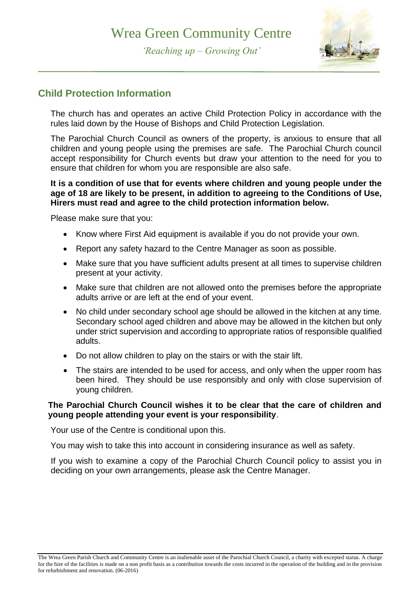

*'Reaching up – Growing Out'*

### **Child Protection Information**

The church has and operates an active Child Protection Policy in accordance with the rules laid down by the House of Bishops and Child Protection Legislation.

The Parochial Church Council as owners of the property, is anxious to ensure that all children and young people using the premises are safe. The Parochial Church council accept responsibility for Church events but draw your attention to the need for you to ensure that children for whom you are responsible are also safe.

#### **It is a condition of use that for events where children and young people under the age of 18 are likely to be present, in addition to agreeing to the Conditions of Use, Hirers must read and agree to the child protection information below.**

Please make sure that you:

- Know where First Aid equipment is available if you do not provide your own.
- Report any safety hazard to the Centre Manager as soon as possible.
- Make sure that you have sufficient adults present at all times to supervise children present at your activity.
- Make sure that children are not allowed onto the premises before the appropriate adults arrive or are left at the end of your event.
- No child under secondary school age should be allowed in the kitchen at any time. Secondary school aged children and above may be allowed in the kitchen but only under strict supervision and according to appropriate ratios of responsible qualified adults.
- Do not allow children to play on the stairs or with the stair lift.
- The stairs are intended to be used for access, and only when the upper room has been hired. They should be use responsibly and only with close supervision of young children.

#### **The Parochial Church Council wishes it to be clear that the care of children and young people attending your event is your responsibility**.

Your use of the Centre is conditional upon this.

You may wish to take this into account in considering insurance as well as safety.

If you wish to examine a copy of the Parochial Church Council policy to assist you in deciding on your own arrangements, please ask the Centre Manager.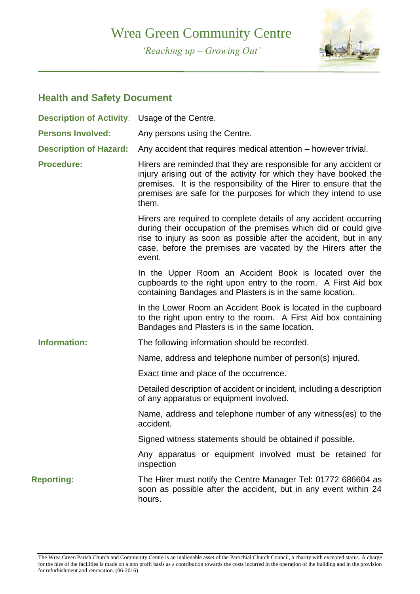# Wrea Green Community Centre

*'Reaching up – Growing Out'*



### **Health and Safety Document**

| <b>Description of Activity: Usage of the Centre.</b> |                                                                                                                                                                                                                                                                                          |
|------------------------------------------------------|------------------------------------------------------------------------------------------------------------------------------------------------------------------------------------------------------------------------------------------------------------------------------------------|
| <b>Persons Involved:</b>                             | Any persons using the Centre.                                                                                                                                                                                                                                                            |
| <b>Description of Hazard:</b>                        | Any accident that requires medical attention – however trivial.                                                                                                                                                                                                                          |
| <b>Procedure:</b>                                    | Hirers are reminded that they are responsible for any accident or<br>injury arising out of the activity for which they have booked the<br>premises. It is the responsibility of the Hirer to ensure that the<br>premises are safe for the purposes for which they intend to use<br>them. |
|                                                      | Hirers are required to complete details of any accident occurring<br>during their occupation of the premises which did or could give<br>rise to injury as soon as possible after the accident, but in any<br>case, before the premises are vacated by the Hirers after the<br>event.     |
|                                                      | In the Upper Room an Accident Book is located over the<br>cupboards to the right upon entry to the room. A First Aid box<br>containing Bandages and Plasters is in the same location.                                                                                                    |
|                                                      | In the Lower Room an Accident Book is located in the cupboard<br>to the right upon entry to the room. A First Aid box containing<br>Bandages and Plasters is in the same location.                                                                                                       |
| Information:                                         | The following information should be recorded.                                                                                                                                                                                                                                            |
|                                                      | Name, address and telephone number of person(s) injured.                                                                                                                                                                                                                                 |
|                                                      | Exact time and place of the occurrence.                                                                                                                                                                                                                                                  |
|                                                      | Detailed description of accident or incident, including a description<br>of any apparatus or equipment involved.                                                                                                                                                                         |
|                                                      | Name, address and telephone number of any witness(es) to the<br>accident.                                                                                                                                                                                                                |
|                                                      | Signed witness statements should be obtained if possible.                                                                                                                                                                                                                                |
|                                                      | Any apparatus or equipment involved must be retained for<br>inspection                                                                                                                                                                                                                   |
| <b>Reporting:</b>                                    | The Hirer must notify the Centre Manager Tel: 01772 686604 as<br>soon as possible after the accident, but in any event within 24<br>hours.                                                                                                                                               |